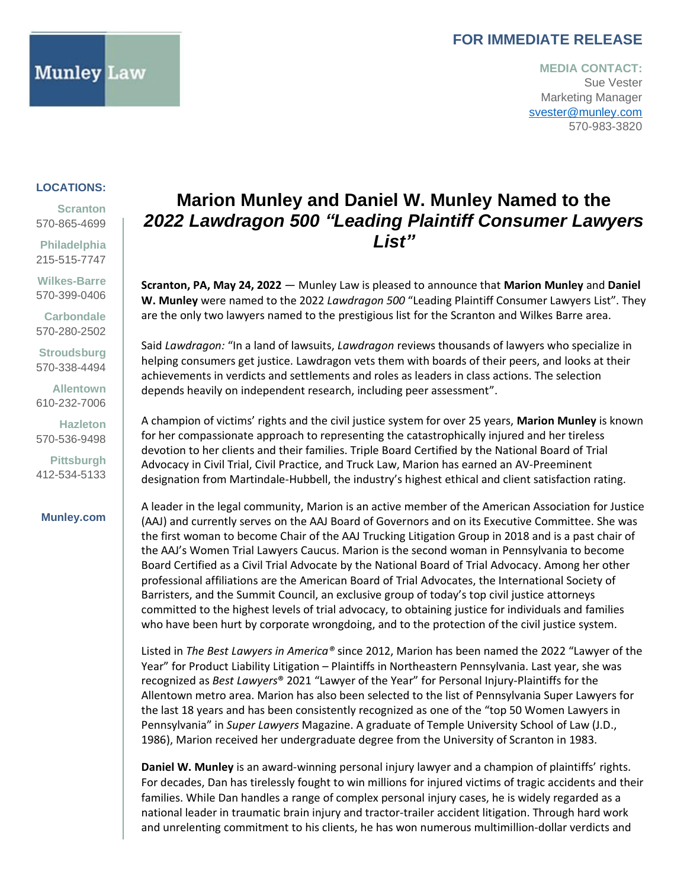### **FOR IMMEDIATE RELEASE**

### **MEDIA CONTACT:** Sue Vester Marketing Manager [svester@munley.com](mailto:svester@munley.com) 570-983-3820

### **LOCATIONS:**

**LOCATIONS:** [570-865-4699](tel:+5708654699) **Scranton**

**Scranton Philadelphia** 215-515-7747

**Philadelphia Wilkes-Barre** 215-515-7747 570-399-0406

**Wilkes-Barre Carbondale** 570-399-0406 570-280-2502

**Carbondale Stroudsburg** 570-280-2502 570-338-4494

**Allentown** 570-338-4494 610-232-7006

**Allentown Hazleton** 610-232-7006 570-536-9498

**Hazleton Pittsburgh** 570-536-9498 412-534-5133

## [412-534-5133](https://munley.com/) **Munley.com**

# **Marion Munley and Daniel W. Munley Named to the**  *2022 Lawdragon 500 "Leading Plaintiff Consumer Lawyers List"*

**Scranton, PA, May 24, 2022** — Munley Law is pleased to announce that **Marion Munley** and **Daniel W. Munley** were named to the 2022 *Lawdragon 500* "Leading Plaintiff Consumer Lawyers List". They are the only two lawyers named to the prestigious list for the Scranton and Wilkes Barre area.

Said *Lawdragon:* "In a land of lawsuits, *Lawdragon* reviews thousands of lawyers who specialize in helping consumers get justice. Lawdragon vets them with boards of their peers, and looks at their achievements in verdicts and settlements and roles as leaders in class actions. The selection depends heavily on independent research, including peer assessment".

A champion of victims' rights and the civil justice system for over 25 years, **Marion Munley** is known for her compassionate approach to representing the catastrophically injured and her tireless devotion to her clients and their families. Triple Board Certified by the National Board of Trial Advocacy in Civil Trial, Civil Practice, and Truck Law, Marion has earned an AV-Preeminent designation from Martindale-Hubbell, the industry's highest ethical and client satisfaction rating.

A leader in the legal community, Marion is an active member of the American Association for Justice (AAJ) and currently serves on the AAJ Board of Governors and on its Executive Committee. She was the first woman to become Chair of the AAJ Trucking Litigation Group in 2018 and is a past chair of the AAJ's Women Trial Lawyers Caucus. Marion is the second woman in Pennsylvania to become Board Certified as a Civil Trial Advocate by the National Board of Trial Advocacy. Among her other professional affiliations are the American Board of Trial Advocates, the International Society of Barristers, and the Summit Council, an exclusive group of today's top civil justice attorneys committed to the highest levels of trial advocacy, to obtaining justice for individuals and families who have been hurt by corporate wrongdoing, and to the protection of the civil justice system.

Listed in *The Best Lawyers in America®* since 2012, Marion has been named the 2022 "Lawyer of the Year" for Product Liability Litigation – Plaintiffs in Northeastern Pennsylvania. Last year, she was recognized as *Best Lawyers*® 2021 "Lawyer of the Year" for Personal Injury-Plaintiffs for the Allentown metro area. Marion has also been selected to the list of Pennsylvania Super Lawyers for the last 18 years and has been consistently recognized as one of the "top 50 Women Lawyers in Pennsylvania" in *Super Lawyers* Magazine. A graduate of Temple University School of Law (J.D., 1986), Marion received her undergraduate degree from the University of Scranton in 1983.

**Daniel W. Munley** is an award-winning personal injury lawyer and a champion of plaintiffs' rights. For decades, Dan has tirelessly fought to win millions for injured victims of tragic accidents and their families. While Dan handles a range of complex personal injury cases, he is widely regarded as a national leader in traumatic brain injury and tractor-trailer accident litigation. Through hard work and unrelenting commitment to his clients, he has won numerous multimillion-dollar verdicts and